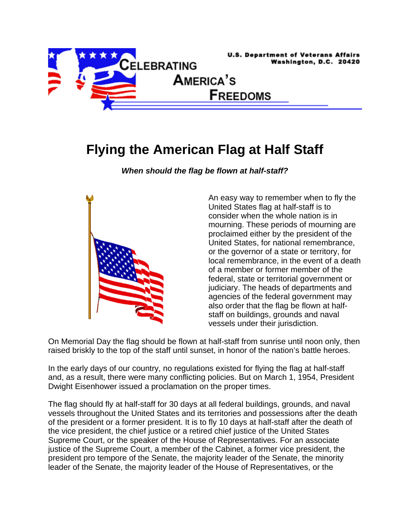

## **Flying the American Flag at Half Staff**

*When should the flag be flown at half-staff?* 



An easy way to remember when to fly the United States flag at half-staff is to consider when the whole nation is in mourning. These periods of mourning are proclaimed either by the president of the United States, for national remembrance, or the governor of a state or territory, for local remembrance, in the event of a death of a member or former member of the federal, state or territorial government or judiciary. The heads of departments and agencies of the federal government may also order that the flag be flown at halfstaff on buildings, grounds and naval vessels under their jurisdiction.

On Memorial Day the flag should be flown at half-staff from sunrise until noon only, then raised briskly to the top of the staff until sunset, in honor of the nation's battle heroes.

In the early days of our country, no regulations existed for flying the flag at half-staff and, as a result, there were many conflicting policies. But on March 1, 1954, President Dwight Eisenhower issued a proclamation on the proper times.

The flag should fly at half-staff for 30 days at all federal buildings, grounds, and naval vessels throughout the United States and its territories and possessions after the death of the president or a former president. It is to fly 10 days at half-staff after the death of the vice president, the chief justice or a retired chief justice of the United States Supreme Court, or the speaker of the House of Representatives. For an associate justice of the Supreme Court, a member of the Cabinet, a former vice president, the president pro tempore of the Senate, the majority leader of the Senate, the minority leader of the Senate, the majority leader of the House of Representatives, or the